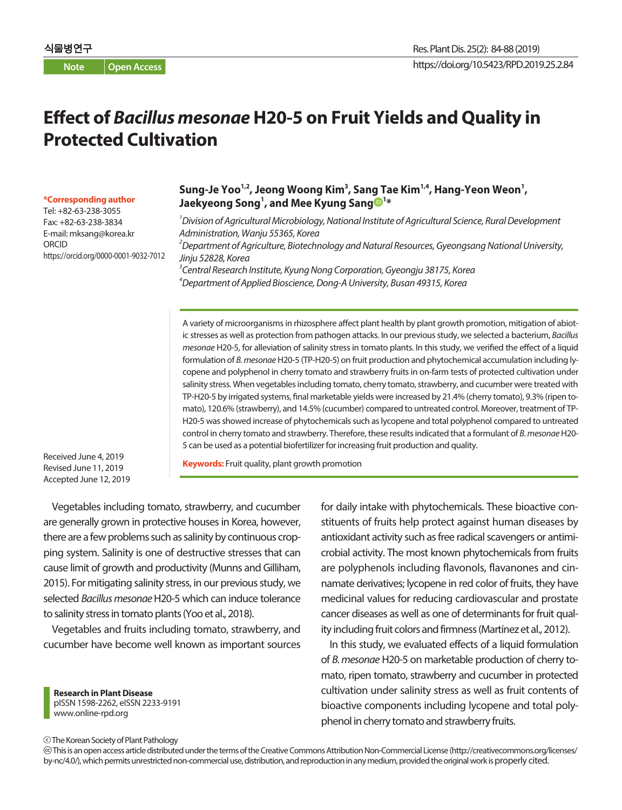# **Effect of** *Bacillus mesonae* **H20-5 on Fruit Yields and Quality in Protected Cultivation**

#### **\*Corresponding author**

Tel: +82-63-238-3055 Fax: +82-63-238-3834 E-mail: mksang@korea.kr ORCID https://orcid.org/0000-0001-9032-7012

### Sung-Je Yoo<sup>1,2</sup>, Jeong Woong Kim<sup>3</sup>, Sang Tae Kim<sup>1,4</sup>, Hang-Yeon Weon<sup>1</sup>, **Jaekyeong Song1 , and Mee Kyung Sang <sup>1</sup> \***

 *Division of Agricultural Microbiology, National Institute of Agricultural Science, Rural Development Administration, Wanju 55365, Korea Department of Agriculture, Biotechnology and Natural Resources, Gyeongsang National University, Jinju 52828, Korea Central Research Institute, Kyung Nong Corporation, Gyeongju 38175, Korea Department of Applied Bioscience, Dong-A University, Busan 49315, Korea*

A variety of microorganisms in rhizosphere affect plant health by plant growth promotion, mitigation of abiotic stresses as well as protection from pathogen attacks. In our previous study, we selected a bacterium, *Bacillus mesonae* H20-5, for alleviation of salinity stress in tomato plants. In this study, we verified the effect of a liquid formulation of *B. mesonae* H20-5 (TP-H20-5) on fruit production and phytochemical accumulation including lycopene and polyphenol in cherry tomato and strawberry fruits in on-farm tests of protected cultivation under salinity stress. When vegetables including tomato, cherry tomato, strawberry, and cucumber were treated with TP-H20-5 by irrigated systems, final marketable yields were increased by 21.4% (cherry tomato), 9.3% (ripen tomato), 120.6% (strawberry), and 14.5% (cucumber) compared to untreated control. Moreover, treatment of TP-H20-5 was showed increase of phytochemicals such as lycopene and total polyphenol compared to untreated control in cherry tomato and strawberry. Therefore, these results indicated that a formulant of *B. mesonae* H20- 5 can be used as a potential biofertilizer for increasing fruit production and quality.

Received June 4, 2019 Revised June 11, 2019 Accepted June 12, 2019

**Keywords:** Fruit quality, plant growth promotion

Vegetables including tomato, strawberry, and cucumber are generally grown in protective houses in Korea, however, there are a few problems such as salinity by continuous cropping system. Salinity is one of destructive stresses that can cause limit of growth and productivity (Munns and Gilliham, 2015). For mitigating salinity stress, in our previous study, we selected *Bacillus mesonae* H20-5 which can induce tolerance to salinity stress in tomato plants (Yoo et al., 2018).

Vegetables and fruits including tomato, strawberry, and cucumber have become well known as important sources

**Research in Plant Disease** pISSN 1598-2262, eISSN 2233-9191 www.online-rpd.org

for daily intake with phytochemicals. These bioactive constituents of fruits help protect against human diseases by antioxidant activity such as free radical scavengers or antimicrobial activity. The most known phytochemicals from fruits are polyphenols including flavonols, flavanones and cinnamate derivatives; lycopene in red color of fruits, they have medicinal values for reducing cardiovascular and prostate cancer diseases as well as one of determinants for fruit quality including fruit colors and firmness (Martínez et al., 2012).

In this study, we evaluated effects of a liquid formulation of *B. mesonae* H20-5 on marketable production of cherry tomato, ripen tomato, strawberry and cucumber in protected cultivation under salinity stress as well as fruit contents of bioactive components including lycopene and total polyphenol in cherry tomato and strawberry fruits.

The Korean Society of Plant Pathology

 This is an open access article distributed under the terms of the Creative Commons Attribution Non-Commercial License (http://creativecommons.org/licenses/ by-nc/4.0/), which permits unrestricted non-commercial use, distribution, and reproduction in any medium, provided the original work is properly cited.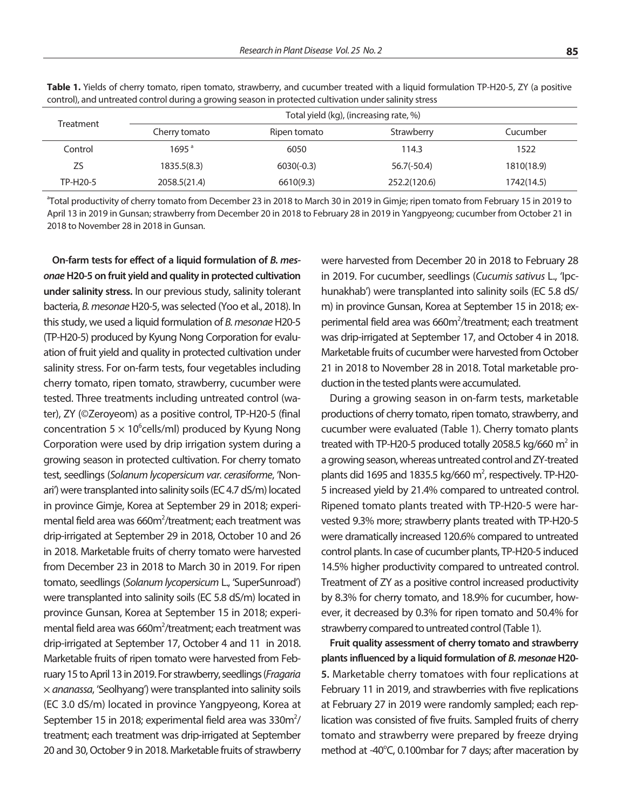| ٧                      | _             |
|------------------------|---------------|
|                        |               |
| ٠<br>I<br>٧<br>.,<br>v | ۰.<br>۰,<br>٠ |

| Treatment | Total yield (kg), (increasing rate, %) |              |               |            |  |
|-----------|----------------------------------------|--------------|---------------|------------|--|
|           | Cherry tomato                          | Ripen tomato | Strawberry    | Cucumber   |  |
| Control   | 1695 <sup>a</sup>                      | 6050         | 114.3         | 1522       |  |
| ZS        | 1835.5(8.3)                            | $6030(-0.3)$ | $56.7(-50.4)$ | 1810(18.9) |  |
| TP-H20-5  | 2058.5(21.4)                           | 6610(9.3)    | 252.2(120.6)  | 1742(14.5) |  |
|           |                                        |              |               |            |  |

**Table 1.** Yields of cherry tomato, ripen tomato, strawberry, and cucumber treated with a liquid formulation TP-H20-5, ZY (a positive control), and untreated control during a growing season in protected cultivation under salinity stress

<sup>a</sup>Total productivity of cherry tomato from December 23 in 2018 to March 30 in 2019 in Gimje; ripen tomato from February 15 in 2019 to April 13 in 2019 in Gunsan; strawberry from December 20 in 2018 to February 28 in 2019 in Yangpyeong; cucumber from October 21 in 2018 to November 28 in 2018 in Gunsan.

**On-farm tests for effect of a liquid formulation of** *B. mesonae* **H20-5 on fruit yield and quality in protected cultivation under salinity stress.** In our previous study, salinity tolerant bacteria, *B. mesonae* H20-5, was selected (Yoo et al., 2018). In this study, we used a liquid formulation of *B. mesonae* H20-5 (TP-H20-5) produced by Kyung Nong Corporation for evaluation of fruit yield and quality in protected cultivation under salinity stress. For on-farm tests, four vegetables including cherry tomato, ripen tomato, strawberry, cucumber were tested. Three treatments including untreated control (water), ZY (©Zeroyeom) as a positive control, TP-H20-5 (final concentration  $5 \times 10^6$ cells/ml) produced by Kyung Nong Corporation were used by drip irrigation system during a growing season in protected cultivation. For cherry tomato test, seedlings (*Solanum lycopersicum var. cerasiforme*, 'Nonari') were transplanted into salinity soils (EC 4.7 dS/m) located in province Gimje, Korea at September 29 in 2018; experimental field area was 660m<sup>2</sup>/treatment; each treatment was drip-irrigated at September 29 in 2018, October 10 and 26 in 2018. Marketable fruits of cherry tomato were harvested from December 23 in 2018 to March 30 in 2019. For ripen tomato, seedlings (*Solanum lycopersicum* L., 'SuperSunroad') were transplanted into salinity soils (EC 5.8 dS/m) located in province Gunsan, Korea at September 15 in 2018; experimental field area was 660m<sup>2</sup>/treatment; each treatment was drip-irrigated at September 17, October 4 and 11 in 2018. Marketable fruits of ripen tomato were harvested from February 15 to April 13 in 2019. For strawberry, seedlings (*Fragaria* × *ananassa*, 'Seolhyang') were transplanted into salinity soils (EC 3.0 dS/m) located in province Yangpyeong, Korea at September 15 in 2018; experimental field area was 330 $m^2/$ treatment; each treatment was drip-irrigated at September 20 and 30, October 9 in 2018. Marketable fruits of strawberry

were harvested from December 20 in 2018 to February 28 in 2019. For cucumber, seedlings (*Cucumis sativus* L., 'Ipchunakhab') were transplanted into salinity soils (EC 5.8 dS/ m) in province Gunsan, Korea at September 15 in 2018; experimental field area was 660m<sup>2</sup>/treatment; each treatment was drip-irrigated at September 17, and October 4 in 2018. Marketable fruits of cucumber were harvested from October 21 in 2018 to November 28 in 2018. Total marketable production in the tested plants were accumulated.

During a growing season in on-farm tests, marketable productions of cherry tomato, ripen tomato, strawberry, and cucumber were evaluated (Table 1). Cherry tomato plants treated with TP-H20-5 produced totally 2058.5 kg/660  $m^2$  in a growing season, whereas untreated control and ZY-treated plants did 1695 and 1835.5 kg/660  $m^2$ , respectively. TP-H20-5 increased yield by 21.4% compared to untreated control. Ripened tomato plants treated with TP-H20-5 were harvested 9.3% more; strawberry plants treated with TP-H20-5 were dramatically increased 120.6% compared to untreated control plants. In case of cucumber plants, TP-H20-5 induced 14.5% higher productivity compared to untreated control. Treatment of ZY as a positive control increased productivity by 8.3% for cherry tomato, and 18.9% for cucumber, however, it decreased by 0.3% for ripen tomato and 50.4% for strawberry compared to untreated control (Table 1).

**Fruit quality assessment of cherry tomato and strawberry plants influenced by a liquid formulation of** *B. mesonae* **H20- 5.** Marketable cherry tomatoes with four replications at February 11 in 2019, and strawberries with five replications at February 27 in 2019 were randomly sampled; each replication was consisted of five fruits. Sampled fruits of cherry tomato and strawberry were prepared by freeze drying method at -40°C, 0.100mbar for 7 days; after maceration by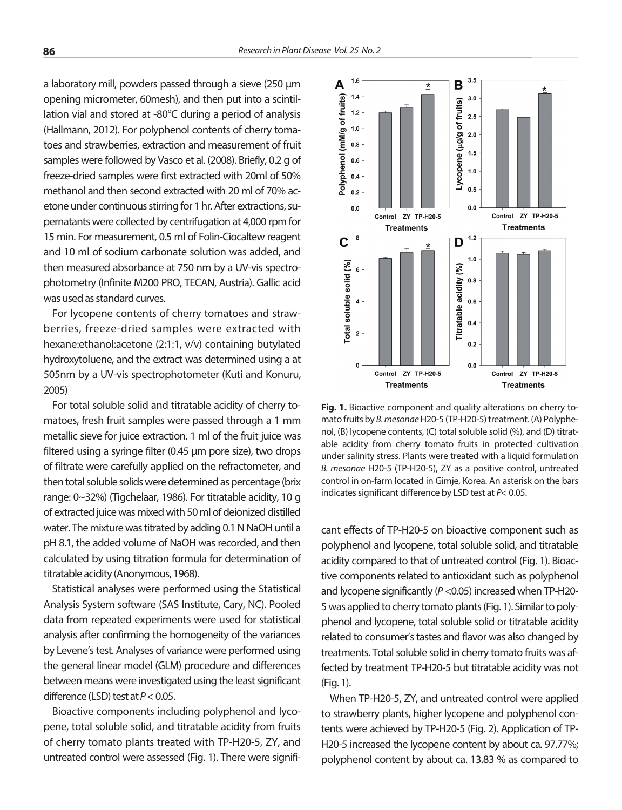a laboratory mill, powders passed through a sieve (250 μm opening micrometer, 60mesh), and then put into a scintillation vial and stored at -80°C during a period of analysis (Hallmann, 2012). For polyphenol contents of cherry tomatoes and strawberries, extraction and measurement of fruit samples were followed by Vasco et al. (2008). Briefly, 0.2 g of freeze-dried samples were first extracted with 20ml of 50% methanol and then second extracted with 20 ml of 70% acetone under continuous stirring for 1 hr. After extractions, supernatants were collected by centrifugation at 4,000 rpm for 15 min. For measurement, 0.5 ml of Folin-Ciocaltew reagent and 10 ml of sodium carbonate solution was added, and then measured absorbance at 750 nm by a UV-vis spectrophotometry (Infinite M200 PRO, TECAN, Austria). Gallic acid was used as standard curves.

For lycopene contents of cherry tomatoes and strawberries, freeze-dried samples were extracted with hexane:ethanol:acetone (2:1:1, v/v) containing butylated hydroxytoluene, and the extract was determined using a at 505nm by a UV-vis spectrophotometer (Kuti and Konuru, 2005)

For total soluble solid and titratable acidity of cherry tomatoes, fresh fruit samples were passed through a 1 mm metallic sieve for juice extraction. 1 ml of the fruit juice was filtered using a syringe filter (0.45 μm pore size), two drops of filtrate were carefully applied on the refractometer, and then total soluble solids were determined as percentage (brix range: 0~32%) (Tigchelaar, 1986). For titratable acidity, 10 g of extracted juice was mixed with 50 ml of deionized distilled water. The mixture was titrated by adding 0.1 N NaOH until a pH 8.1, the added volume of NaOH was recorded, and then calculated by using titration formula for determination of titratable acidity (Anonymous, 1968).

Statistical analyses were performed using the Statistical Analysis System software (SAS Institute, Cary, NC). Pooled data from repeated experiments were used for statistical analysis after confirming the homogeneity of the variances by Levene's test. Analyses of variance were performed using the general linear model (GLM) procedure and differences between means were investigated using the least significant difference (LSD) test at *P* < 0.05.

Bioactive components including polyphenol and lycopene, total soluble solid, and titratable acidity from fruits of cherry tomato plants treated with TP-H20-5, ZY, and untreated control were assessed (Fig. 1). There were signifi-



Fig. 1. Bioactive component and quality alterations on cherry tomato fruits by *B. mesonae* H20-5 (TP-H20-5) treatment. (A) Polyphenol, (B) lycopene contents, (C) total soluble solid (%), and (D) titratable acidity from cherry tomato fruits in protected cultivation under salinity stress. Plants were treated with a liquid formulation *B. mesonae* H20-5 (TP-H20-5), ZY as a positive control, untreated control in on-farm located in Gimje, Korea. An asterisk on the bars indicates significant difference by LSD test at *P*< 0.05.

cant effects of TP-H20-5 on bioactive component such as polyphenol and lycopene, total soluble solid, and titratable acidity compared to that of untreated control (Fig. 1). Bioactive components related to antioxidant such as polyphenol and lycopene significantly (*P* <0.05) increased when TP-H20- 5 was applied to cherry tomato plants (Fig. 1). Similar to polyphenol and lycopene, total soluble solid or titratable acidity related to consumer's tastes and flavor was also changed by treatments. Total soluble solid in cherry tomato fruits was affected by treatment TP-H20-5 but titratable acidity was not (Fig. 1).

When TP-H20-5, ZY, and untreated control were applied to strawberry plants, higher lycopene and polyphenol contents were achieved by TP-H20-5 (Fig. 2). Application of TP-H20-5 increased the lycopene content by about ca. 97.77%; polyphenol content by about ca. 13.83 % as compared to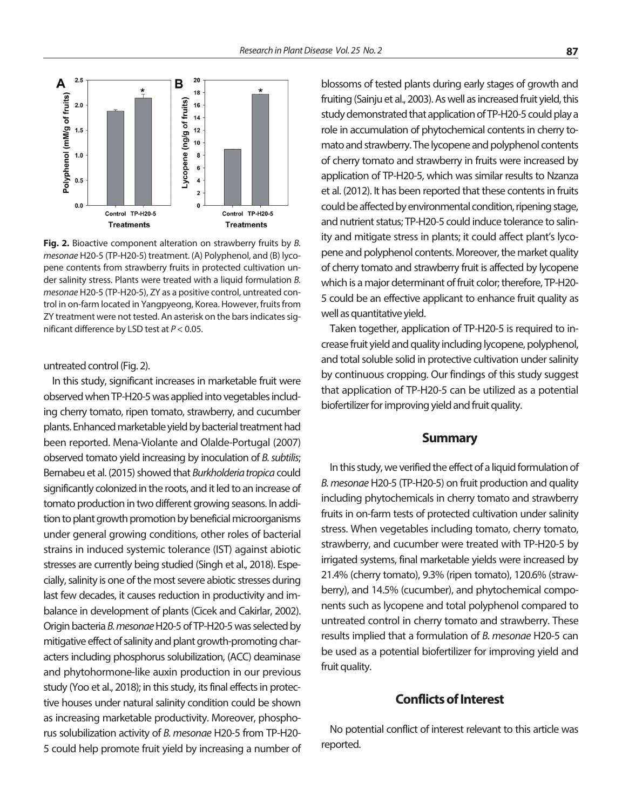

**Fig. 2.** Bioactive component alteration on strawberry fruits by *B. mesonae* H20-5 (TP-H20-5) treatment. (A) Polyphenol, and (B) lycopene contents from strawberry fruits in protected cultivation under salinity stress. Plants were treated with a liquid formulation *B. mesonae* H20-5 (TP-H20-5), ZY as a positive control, untreated control in on-farm located in Yangpyeong, Korea. However, fruits from ZY treatment were not tested. An asterisk on the bars indicates significant difference by LSD test at *P* < 0.05.

untreated control (Fig. 2).

In this study, significant increases in marketable fruit were observed when TP-H20-5 was applied into vegetables including cherry tomato, ripen tomato, strawberry, and cucumber plants. Enhanced marketable yield by bacterial treatment had been reported. Mena-Violante and Olalde-Portugal (2007) observed tomato yield increasing by inoculation of *B. subtilis*; Bernabeu et al. (2015) showed that *Burkholderia tropica* could significantly colonized in the roots, and it led to an increase of tomato production in two different growing seasons. In addition to plant growth promotion by beneficial microorganisms under general growing conditions, other roles of bacterial strains in induced systemic tolerance (IST) against abiotic stresses are currently being studied (Singh et al., 2018). Especially, salinity is one of the most severe abiotic stresses during last few decades, it causes reduction in productivity and imbalance in development of plants (Cicek and Cakirlar, 2002). Origin bacteria *B. mesonae* H20-5 of TP-H20-5 was selected by mitigative effect of salinity and plant growth-promoting characters including phosphorus solubilization, (ACC) deaminase and phytohormone-like auxin production in our previous study (Yoo et al., 2018); in this study, its final effects in protective houses under natural salinity condition could be shown as increasing marketable productivity. Moreover, phosphorus solubilization activity of *B. mesonae* H20-5 from TP-H20- 5 could help promote fruit yield by increasing a number of

blossoms of tested plants during early stages of growth and fruiting (Sainju et al., 2003). As well as increased fruit yield, this study demonstrated that application of TP-H20-5 could play a role in accumulation of phytochemical contents in cherry tomato and strawberry. The lycopene and polyphenol contents of cherry tomato and strawberry in fruits were increased by application of TP-H20-5, which was similar results to Nzanza et al. (2012). It has been reported that these contents in fruits could be affected by environmental condition, ripening stage, and nutrient status; TP-H20-5 could induce tolerance to salinity and mitigate stress in plants; it could affect plant's lycopene and polyphenol contents. Moreover, the market quality of cherry tomato and strawberry fruit is affected by lycopene which is a major determinant of fruit color; therefore, TP-H20- 5 could be an effective applicant to enhance fruit quality as well as quantitative yield.

Taken together, application of TP-H20-5 is required to increase fruit yield and quality including lycopene, polyphenol, and total soluble solid in protective cultivation under salinity by continuous cropping. Our findings of this study suggest that application of TP-H20-5 can be utilized as a potential biofertilizer for improving yield and fruit quality.

#### **Summary**

In this study, we verified the effect of a liquid formulation of *B. mesonae* H20-5 (TP-H20-5) on fruit production and quality including phytochemicals in cherry tomato and strawberry fruits in on-farm tests of protected cultivation under salinity stress. When vegetables including tomato, cherry tomato, strawberry, and cucumber were treated with TP-H20-5 by irrigated systems, final marketable yields were increased by 21.4% (cherry tomato), 9.3% (ripen tomato), 120.6% (strawberry), and 14.5% (cucumber), and phytochemical components such as lycopene and total polyphenol compared to untreated control in cherry tomato and strawberry. These results implied that a formulation of *B. mesonae* H20-5 can be used as a potential biofertilizer for improving yield and fruit quality.

### **Conflicts of Interest**

No potential conflict of interest relevant to this article was reported.